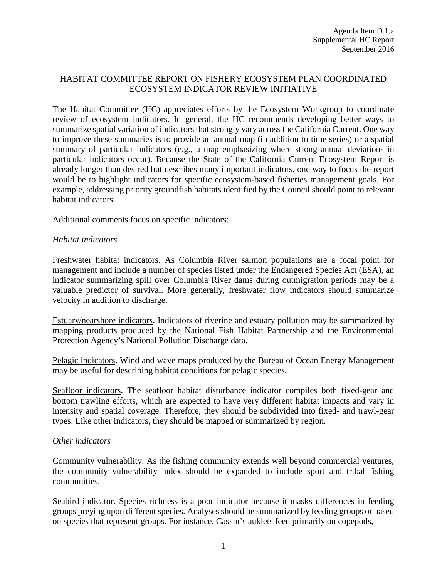## HABITAT COMMITTEE REPORT ON FISHERY ECOSYSTEM PLAN COORDINATED ECOSYSTEM INDICATOR REVIEW INITIATIVE

The Habitat Committee (HC) appreciates efforts by the Ecosystem Workgroup to coordinate review of ecosystem indicators. In general, the HC recommends developing better ways to summarize spatial variation of indicators that strongly vary across the California Current. One way to improve these summaries is to provide an annual map (in addition to time series) or a spatial summary of particular indicators (e.g., a map emphasizing where strong annual deviations in particular indicators occur). Because the State of the California Current Ecosystem Report is already longer than desired but describes many important indicators, one way to focus the report would be to highlight indicators for specific ecosystem-based fisheries management goals. For example, addressing priority groundfish habitats identified by the Council should point to relevant habitat indicators.

Additional comments focus on specific indicators:

## *Habitat indicators*

Freshwater habitat indicators. As Columbia River salmon populations are a focal point for management and include a number of species listed under the Endangered Species Act (ESA), an indicator summarizing spill over Columbia River dams during outmigration periods may be a valuable predictor of survival. More generally, freshwater flow indicators should summarize velocity in addition to discharge.

Estuary/nearshore indicators. Indicators of riverine and estuary pollution may be summarized by mapping products produced by the National Fish Habitat Partnership and the Environmental Protection Agency's National Pollution Discharge data.

Pelagic indicators. Wind and wave maps produced by the Bureau of Ocean Energy Management may be useful for describing habitat conditions for pelagic species.

Seafloor indicators. The seafloor habitat disturbance indicator compiles both fixed-gear and bottom trawling efforts, which are expected to have very different habitat impacts and vary in intensity and spatial coverage. Therefore, they should be subdivided into fixed- and trawl-gear types. Like other indicators, they should be mapped or summarized by region.

## *Other indicators*

Community vulnerability. As the fishing community extends well beyond commercial ventures, the community vulnerability index should be expanded to include sport and tribal fishing communities.

Seabird indicator. Species richness is a poor indicator because it masks differences in feeding groups preying upon different species. Analyses should be summarized by feeding groups or based on species that represent groups. For instance, Cassin's auklets feed primarily on copepods,